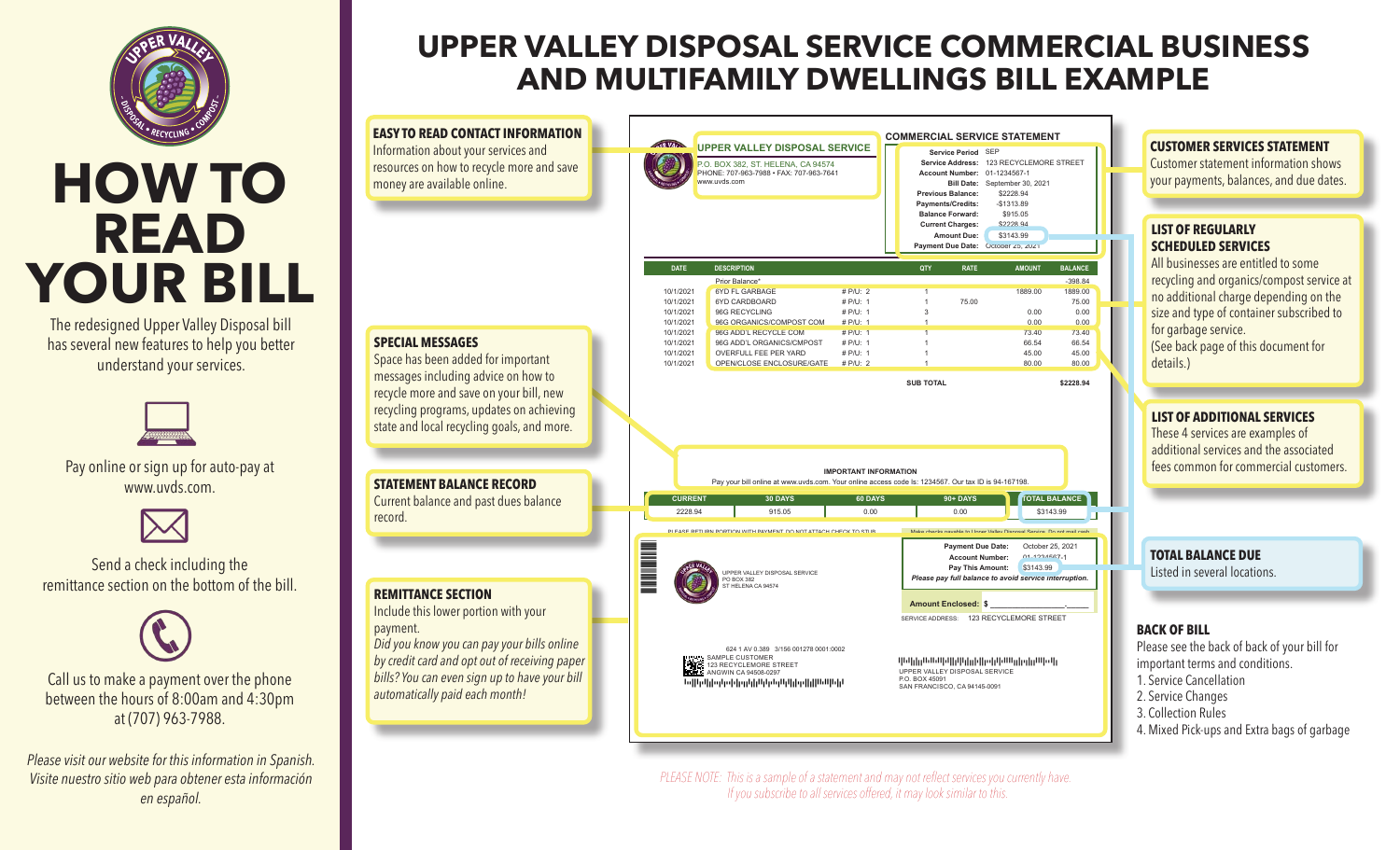

# **HOW TO READ YOUR BILL**

The redesigned Upper Valley Disposal bill has several new features to help you better understand your services.



Pay online or sign up for auto-pay at www.uvds.com



Send a check including the remittance section on the bottom of the bill.



payment.

record.

Call us to make a payment over the phone between the hours of 8:00am and 4:30pm at (707) 963-7988.

*Please visit our website for this information in Spanish. Visite nuestro sitio web para obtener esta información en español.*

## **UPPER VALLEY DISPOSAL SERVICE COMMERCIAL BUSINESS AND MULTIFAMILY DWELLINGS BILL EXAMPLE**

**EASY TO READ CONTACT INFORMATION COMMERCIAL SERVICE STATEMENT OFR VALLE UPPER VALLEY DISPOSAL SERVICE** Information about your services and **Service Period** SEP **Service Address:** 123 RECYCLEMORE STREET resources on how to recycle more and save 0. BOX 382, ST. HELENA, CA 94574 PHONE: 707-963-7988 • FAX: 707-963-7641 **Account Number:** 01-1234567-1 money are available online. www.uvds.com **Bill Date:** September 30, 2021 **Previous Balance:** \$2228.94 **Payments/Credits:** -\$1313.89 Balance Forward: \$915.05 **Current Charges:** \$2228.94 **Amount Due:** \$3143.99 **Payment Due Date:** October 25, 2021 **DATE DESCRIPTION QTY RATE AMOUNT BALANCE** Prior Balance\* -398.84 10/1/2021 6YD FL GARBAGE # P/U: 2 1 1 1889.00 1889.00 1899.00<br>10/1/2021 6YD CARDBOARD # P/U: 1 1 75.00 75.00 75.00 10/1/2021 6YD CARDBOARD # P/U: 1 1 75.00 75.00 75.00 75.00 75.00 75.00 75.00 75.00 75.00 75.00 75.00 96G RECYCLING 10/1/2021 96G ORGANICS/COMPOST COM # P/U: 1 1 1 0.00 0.00 0.00<br>10/1/2021 96G ADD'L RECYCLE COM # P/U: 1 1 1 73.40 73.40 73.40 10/1/2021 96G ADD'L RECYCLE COM # P/U: 1 1 73.40 73.40 **SPECIAL MESSAGES** 10/1/2021 96G ADD'L ORGANICS/CMPOST # P/U: 1 1 66.54 66.54 10/1/2021 OVERFULL FEE PER YARD # P/U: 1 1 45.00 45.00 Space has been added for important OPEN/CLOSE ENCLOSURE/GATE messages including advice on how to **SUB TOTAL \$2228.94** recycle more and save on your bill, new recycling programs, updates on achieving state and local recycling goals, and more. **IMPORTANT INFORMATION STATEMENT BALANCE RECORD** Pay your bill online at www.uvds.com. Your online access code Is: 1234567. Our tax ID is 94-167198. **CURRENT 30 DAYS 60 DAYS 60 DAYS 90+ DAYS TOTAL BALANCE** Current balance and past dues balance 2228.94 | 915.05 | 0.00 | 0.00 <mark>|</mark> \$3143.99 PLEASE RETURN PORTION WITH PAYMENT. DO NOT ATTACH CHECK TO STUB. Make checks payable to Upper Valley Disposal Service. Do not mail cash. \*12340\* **Payment Due Date:** October 25, 2021 **Account Number:** 01-1234567-1 **Pay This Amount:** \$3143.99 UPPER VALLEY DISPOSAL SERVICE *Please pay full balance to avoid service interruption.* PO BOX 382 ST HELENA CA 94574 **REMITTANCE SECTION Amount Enclosed: \$ \_\_\_\_\_\_\_\_\_\_\_\_\_\_\_\_\_.\_\_\_\_\_** Include this lower portion with your SERVICE ADDRESS: 123 RECYCLEMORE STREET *Did you know you can pay your bills online*  624 1 AV 0.389 3/156 001278 0001:0002 *by credit card and opt out of receiving paper*  SAMPLE CUSTOMER AFATAFDFDDAATAATAAFTAFFDAFADFDDFTFFDTTFDAFTAAAADDFDTDFDDAAAFTTAFD k. 123 RECYCLEMORE STREET UPPER VALLEY DISPOSAL SERVICE ANGWIN CA 94508-0297 *bills? You can even sign up to have your bill*  P.O. BOX 45091 ATTFFADTAFDFTTDADTTFTFDTDDADFDAADADTATDAADAFDFTDTFFDFFAATAAFATFDA SAN FRANCISCO, CA 94145-009 *automatically paid each month!*

> *PLEASE NOTE: This is a sample of a statement and may not reflect services you currently have. If you subscribe to all services offered, it may look similar to this.*

### **CUSTOMER SERVICES STATEMENT**

Customer statement information shows your payments, balances, and due dates.

### **LIST OF REGULARLY SCHEDULED SERVICES**

All businesses are entitled to some recycling and organics/compost service at no additional charge depending on the size and type of container subscribed to for garbage service. (See back page of this document for details.)

**LIST OF ADDITIONAL SERVICES**

These 4 services are examples of additional services and the associated fees common for commercial customers.

**TOTAL BALANCE DUE** Listed in several locations.

### **BACK OF BILL**

Please see the back of back of your bill for important terms and conditions.

- 1. Service Cancellation
- 2. Service Changes 3. Collection Rules
- 4. Mixed Pick-ups and Extra bags of garbage